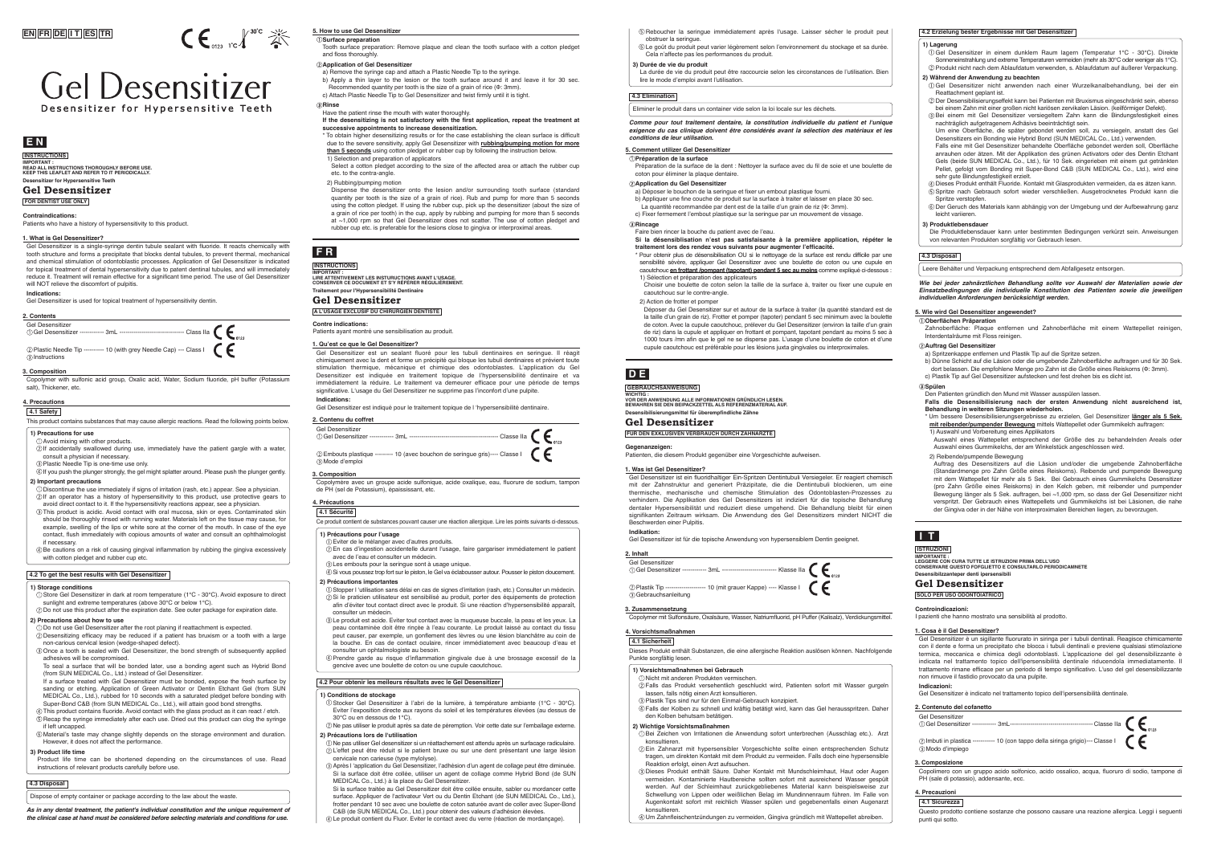Gel Desensitizer is a single-syringe dentin tubule sealant with fluoride. It reacts chemically with tooth structure and forms a precipitate that blocks dental tubules, to prevent thermal, mechanical and chemical stimulation of odontoblastic processes. Application of Gel Desensitizer is indicated for topical treatment of dental hypersensitivity due to patent dentinal tubules, and will immediately reduce it. Treatment will remain effective for a significant time period. The use of Gel Desensitizer will NOT relieve the discomfort of pulpitis.

Copolymer with sulfonic acid group, Oxalic acid, Water, Sodium fluoride, pH buffer (Potassium salt), Thickener, etc.

**Indications:**  Gel Desensitizer is used for topical treatment of hypersensitivity dentin.

#### **1. What is Gel Desensitizer?**

### **3. Composition**

Tooth surface preparation: Remove plaque and clean the tooth surface with a cotton pledget and floss thoroughly.

#### **Application of Gel Desensitizer**

- a) Remove the syringe cap and attach a Plastic Needle Tip to the syringe.
- b) Apply a thin layer to the lesion or the tooth surface around it and leave it for 30 sec. Recommended quantity per tooth is the size of a grain of rice (Φ: 3mm). c) Attach Plastic Needle Tip to Gel Desensitizer and twist firmly until it is tight.

#### **Rinse**

Have the patient rinse the mouth with water thoroughly.

#### **Surface preparation 5. How to use Gel Desensitizer**

- **If the desensitizing is not satisfactory with the first application, repeat the treatment at successive appointments to increase desensitization.**
- \* To obtain higher desensitizing results or for the case establishing the clean surface is difficult due to the severe sensitivity, apply Gel Desensitizer with **rubbing/pumping motion for more than 5 seconds** using cotton pledget or rubber cup by following the instruction below. 1) Selection and preparation of applicators
- Select a cotton pledget according to the size of the affected area or attach the rubber cup etc. to the contra-angle.
- 2) Rubbing/pumping motion
- Dispense the desensitizer onto the lesion and/or surrounding tooth surface (standard quantity per tooth is the size of a grain of rice). Rub and pump for more than 5 seconds using the cotton pledget. If using the rubber cup, pick up the desensitizer (about the size of a grain of rice per tooth) in the cup, apply by rubbing and pumping for more than 5 seconds at ~1,000 rpm so that Gel Desensitizer does not scatter. The use of cotton pledget and rubber cup etc. is preferable for the lesions close to gingiva or interproximal areas.

**Préparation de la surface**

Préparation de la surface de la dent : Nettoyer la surface avec du fil de soie et une boulette de

coton pour éliminer la plaque dentaire. **Application du Gel Desensitizer**

a) Déposer le bouchon de la seringue et fixer un embout plastique fourni.

b) Appliquer une fine couche de produit sur la surface à traiter et laisser en place 30 sec. La quantité recommandée par dent est de la taille d'un grain de riz (Φ: 3mm). c) Fixer fermement l'embout plastique sur la seringue par un mouvement de vissage.

**Rincage**

Faire bien rincer la bouche du patient avec de l'eau.

**Si la désensiblisation n'est pas satisfaisante à la première application, répéter le** 

**traitement lors des rendez vous suivants pour augmenter l'efficacité.**

- 
- $\widetilde{\otimes}$  If accidentally swallowed during use, immediately have the patient gargle with a water, consult a physician if necessary. Plastic Needle Tip is one-time use only.

\* Pour obtenir plus de désensibilisation OU si le nettoyage de la surface est rendu difficile par une sensibilité sévère, appliquer Gel Desensitizer avec une boulette de coton ou une cupule en caoutchouc **en frottant /pompant (tapotant) pendant 5 sec au moins** comme expliqué ci-dessous :

1) Sélection et préparation des applicateurs

Choisir une boulette de coton selon la taille de la surface à, traiter ou fixer une cupule en

caoutchouc sur le contre-angle. 2) Action de frotter et pomper

- $\overline{\textcircled{\tiny{A}}}$  If you push the plunger strongly, the gel might splatter around. Please push the plunger gently. **2) Important precautions**
- Discontinue the use immediately if signs of irritation (rash, etc.) appear. See a physician.  $@$  If an operator has a history of hypersensitivity to this product, use protective gears to
- avoid direct contact to it. If the hypersensitivity reactions appear, see a physician. This product is acidic. Avoid contact with oral mucosa, skin or eyes. Contaminated skin should be thoroughly rinsed with running water. Materials left on the tissue may cause, for example, swelling of the lips or white sore at the corner of the mouth. In case of the eye contact, flush immediately with copious amounts of water and consult an ophthalmologist
- if necessary. Be cautions on a risk of causing gingival inflammation by rubbing the gingiva excessively with cotton pledget and rubber cup etc.

Déposer du Gel Desensitizer sur et autour de la surface à traiter (la quantité standard est de la taille d'un grain de riz). Frotter et pomper (tapoter) pendant 5 sec minimum avec la boulette de coton. Avec la cupule caoutchouc, prélever du Gel Desensitizer (environ la taille d'un grain de riz) dans la cupule et appliquer en frottant et pompant, tapotant pendant au moins 5 sec à 1000 tours /mn afin que le gel ne se disperse pas. L'usage d'une boulette de coton et d'une cupule caoutchouc est préférable pour les lésions juxta gingivales ou interproximales.

**5. Comment utilizer Gel Desensitizer**

#### **Oberflächen Präparation**

Zahnoberfläche: Plaque entfernen und Zahnoberfläche mit einem Wattepellet reinigen, Interdentalräume mit Floss reinigen.

**Auftrag Gel Desensitizer**

- a) Spritzenkappe entfernen und Plastik Tip auf die Spritze setzen.
- b) Dünne Schicht auf die Läsion oder die umgebende Zahnoberfläche auftragen und für 30 Sek. dort belassen. Die empfohlene Menge pro Zahn ist die Größe eines Reiskorns (Φ: 3mm). c) Plastik Tip auf Gel Desensitizer aufstecken und fest drehen bis es dicht ist.

#### **Spülen**

Den Patienten gründlich den Mund mit Wasser ausspülen lassen.

**Falls die Desensibilisierung nach der ersten Anwendung nicht ausreichend ist, Behandlung in weiteren Sitzungen wiederholen.**

- \* Um bessere Desensibilisierungsergebnisse zu erzielen, Gel Desensitizer **länger als 5 Sek. mit reibender/pumpender Bewegung** mittels Wattepellet oder Gummikelch auftragen: 1) Auswahl und Vorbereitung eines Applikators
- Auswahl eines Wattepellet entsprechend der Größe des zu behandelnden Areals oder Auswahl eines Gummikelchs, der am Winkelstück angeschlossen wird.

### 2) Reibende/pumpende Bewegung

Auftrag des Desensitizers auf die Läsion und/oder die umgebende Zahnoberfläche (Standardmenge pro Zahn Größe eines Reiskorns). Reibende und pumpende Bewegung mit dem Wattepellet für mehr als 5 Sek. Bei Gebrauch eines Gummikelchs Desensitizer (pro Zahn Größe eines Reiskorns) in den Kelch geben, mit reibender und pumpender Bewegung länger als 5 Sek. auftragen, bei ~1,000 rpm, so dass der Gel Desensitizer nicht verspritzt. Der Gebrauch eines Wattepellets und Gummikelchs ist bei Läsionen, die nahe der Gingiva oder in der Nähe von interproximalen Bereichen liegen, zu bevorzugen.

#### **5. Wie wird Gel Desensitizer angewendet?**



# **Gel Desensitizer** Desensitizer for Hypersensitive Teet

**FOR DENTIST USE ONLY**

## **Gel Desensitizer**

**Desensitizer for Hypersensitive Teeth IMPORTANT : READ ALL INSTRUCTIONS THOROUGHLY BEFORE USE. KEEP THIS LEAFLET AND REFER TO IT PERIODICALLY.** 

## **INSTRUCTIONS E N**

**2. Contents**

Gel Desensitizer Gel Desensitizer ------------ 3mL -------------------------------- Class Ⅱa Plastic Needle Tip ---------- 10 (with grey Needle Cap) --- Class Ⅰ

Instructions

**Contraindications:**

Patients who have a history of hypersensitivity to this product.

## **4. Precautions**

**4.1 Safety**

#### **1) Precautions for use** Avoid mixing with other products.

### **4.2 To get the best results with Gel Desensitizer**

#### **1) Storage conditions**

- Store Gel Desensitizer in dark at room temperature (1℃ 30℃). Avoid exposure to direct sunlight and extreme temperatures (above 30℃ or below 1°C).
- Do not use this product after the expiration date. See outer package for expiration date. **2) Precautions about how to use**
- 
- Do not use Gel Desensitizer after the root planing if reattachment is expected. Desensitizing efficacy may be reduced if a patient has bruxism or a tooth with a large
- non-carious cervical lesion (wedge-shaped defect). Once a tooth is sealed with Gel Desensitizer, the bond strength of subsequently applied
- adhesives will be compromised. To seal a surface that will be bonded later, use a bonding agent such as Hybrid Bond
- (from SUN MEDICAL Co., Ltd.) instead of Gel Desensitizer. If a surface treated with Gel Desensitizer must be bonded, expose the fresh surface by
- sanding or etching. Application of Green Activator or Dentin Etchant Gel (from SUN MEDICAL Co., Ltd.), rubbed for 10 seconds with a saturated pledget before bonding with Super-Bond C&B (from SUN MEDICAL Co., Ltd.), will attain good bond strengths.
- This product contains fluoride. Avoid contact with the glass product as it can react / etch.  $\ddot{\textcirc}$  Recap the syringe immediately after each use. Dried out this product can clog the syringe if left uncapped.
- $6$  Material's taste may change slightly depends on the storage environment and duration However, it does not affect the performance.

Si la surface traitée au Gel Desensitizer doit être collée ensuite, sabler ou mordancer cette surface. Appliquer de l'activateur Vert ou du Dentin Etchant (de SUN MEDICAL Co., Ltd.), frotter pendant 10 sec avec une boulette de coton saturée avant de coller avec Super-Bond C&B (de SUN MEDICAL Co., Ltd.) pour obtenir des valeurs d'adhésion élevées.

#### **3) Product life time**

Product life time can be shortened depending on the circumstances of use. Read instructions of relevant products carefully before use.

This product contains substances that may cause allergic reactions. Read the following points below.

### **4.3 Disposal**

Dispose of empty container or package according to the law about the waste.

*As in any dental treatment, the patient's individual constitution and the unique requirement of the clinical case at hand must be considered before selecting materials and conditions for use.*

Gel Desensitizer è un sigillante fluorurato in siringa per i tubuli dentinali. Reagisce chimicamente con il dente e forma un precipitato che blocca i tubuli dentinali e previene qualsiasi stimolazione termica, meccanica e chimica degli odontoblasti. L'applicazione del gel desensibilizzante è indicata nel trattamento topico dell'ipersensibilità dentinale riducendola immediatamente. Il trattamento rimane efficace per un periodo di tempo significativo. L'uso del gel desensibilizzante non rimuove il fastidio provocato da una pulpite.

**Indicazioni:** 

Gel Desensitizer è indicato nel trattamento topico dell'ipersensibilità dentinale.

#### **1. Cosa è il Gel Desensitizer?**

Copolimero con un gruppo acido solfonico, acido ossalico, acqua, fluoruro di sodio, tampone di PH (sale di potassio), addensante, ecc.

#### **3. Composizione**

**SOLO PER USO ODONTOIATRICO**

### **Gel Desensitizer**

### **ISTRUZIONI**

**Desensibilzzanteper denti ipersensibili IMPORTANTE : LEGGERE CON CURA TUTTE LE ISTRUZIONI PRIMA DELL'USO CONSERVARE QUESTO FOFGLIETTO E CONSULTARLO PERIODICAMNETE**

### **I T**

### **Controindicazioni:**

I pazienti che hanno mostrato una sensibilità al prodotto.

### **4. Precauzioni**

### **4.1 Sicurezza**

Questo prodotto contiene sostanze che possono causare una reazione allergica. Leggi i seguenti punti qui sotto.

Gel Desensitizer ist ein fluoridhaltiger Ein-Spritzen Dentintubuli Versiegeler. Er reagiert chemisch mit der Zahnstruktur and generiert Präzipitate, die die Dentintubuli blockieren, um eine thermische, mechanische und chemische Stimulation des Odontoblasten-Prozesses zu verhindern. Die Applikation des Gel Desensitizers ist indiziert für die topische Behandlung dentaler Hypersensibilität und reduziert diese umgehend. Die Behandlung bleibt für einen signifikanten Zeitraum wirksam. Die Anwendung des Gel Desensitizers mindert NICHT die

Beschwerden einer Pulpitis.

**Indikation:** 

**2. Inhalt**<br>Gel Desensitizer

Gel Desensitizer ist für die topische Anwendung von hypersensiblem Dentin geeignet.

**1. Was ist Gel Desensitizer?**

Copolymer mit Sulfonsäure, Oxalsäure, Wasser, Natriumfluorid, pH Puffer (Kalisalz), Verdickungsmittel.

**3. Zusammensetzung**

**FÜR DEN EXKLUSIVEN VERBRAUCH DURCH ZAHNÄRZTE**

WICHTIG :<br>VOR DER ANWENDUNG ALLE INFORMATIONEN GRÜNDLICH LESEN.<br>BEWAHREN SIE DEN BEIPACKZETTEL ALS REFERENZMATERIAL AUF.

**Desensibilisierungsmittel für überempfindliche Zähne**

**Gel Desensitizer**

**GEBRAUCHSANWEISUNG**

**D E**

**Gegenanzeigen:**

Patienten, die diesem Produkt gegenüber eine Vorgeschichte aufweisen.

**4. Vorsichtsmaßnahmen 4.1 Sicherheit**

**1) Vorsichtsmaßnahmen bei Gebrauch** Nicht mit anderen Produkten vermischen.

Falls das Produkt versehentlich geschluckt wird, Patienten sofort mit Wasser gurgeln

lassen, falls nötig einen Arzt konsultieren. Plastik Tips sind nur für den Einmal-Gebrauch konzipiert.

Falls der Kolben zu schnell und kräftig betätigt wird, kann das Gel herausspritzen. Daher

den Kolben behutsam betätigen. **2) Wichtige Vorsichtsmaßnahmen**

Bei Zeichen von Irritationen die Anwendung sofort unterbrechen (Ausschlag etc.). Arzt

konsultieren.

Ein Zahnarzt mit hypersensibler Vorgeschichte sollte einen entsprechenden Schutz tragen, um direkten Kontakt mit dem Produkt zu vermeiden. Falls doch eine hypersensible

Reaktion erfolgt, einen Arzt aufsuchen.

Dieses Produkt enthält Säure. Daher Kontakt mit Mundschleimhaut, Haut oder Augen vermeiden. Kontaminierte Hautbereiche sollten sofort mit ausreichend Wasser gespült werden. Auf der Schleimhaut zurückgebliebenes Material kann beispielsweise zur Schwellung von Lippen oder weißlichen Belag im Mundinnenraum führen. lm Falle von Augenkontakt sofort mit reichlich Wasser spülen und gegebenenfalls einen Augenarzt

konsultieren.

Um Zahnfleischentzündungen zu vermeiden, Gingiva gründlich mit Wattepellet abreiben.

Dieses Produkt enthält Substanzen, die eine allergische Reaktion auslösen können. Nachfolgende

Punkte sorgfältig lesen.

Gel Desensitizer est un sealant fluoré pour les tubuli dentinaires en seringue. Il réagit chimiquement avec la dent et forme un précipité qui bloque les tubuli dentinaires et prévient toute stimulation thermique, mécanique et chimique des odontoblastes. L'application du Gel Desensitizer est indiquée en traitement topique de l'hypersensibilité dentinaire et va immédiatement la réduire. Le traitement va demeurer efficace pour une période de temps significative. L'usage du Gel Desensitizer ne supprime pas l'inconfort d'une pulpite. **Indications:**

Gel Desensitizer est indiqué pour le traitement topique de l 'hypersensibilité dentinaire.

### **1. Qu'est ce que le Gel Desensitizer?**

Copolymère avec un groupe acide sulfonique, acide oxalique, eau, fluorure de sodium, tampon de PH (sel de Potassium), épaississant, etc.

#### **3. Composition**

#### **2. Contenu du coffret**



Gel Desensitizer Gel Desensitizer ------------ 3mL --------------------------- Klasse IIa

© Plastik Tip --------------------- 10 (mit grauer Kappe) ---- Klasse Ⅰ  $\frown$ 

Gebrauchsanleitung

#### **2. Contenuto del cofanetto**

Gel Desensitizer Gel Desensitizer ------------ 3mL----------------------------------------- Classe IIa Imbuti in plastica ----------- 10 (con tappo della siringa grigio)--- Classe Ⅰ Modo d'impiego

## **A L'USAGE EXCLUSIF DU CHIRURGIEN DENTISTE**

**Traitement pour l'Hypersensibilité Dentinaire**

## **Gel Desensitizer**

### **INSTRUCTIONS**

**IMPORTANT : LIRE ATTENTIVEMENT LES INSTURUCTIONS AVANT L'USAGE. CONSERVER CE DOCUMENT ET S'Y RÉFÉRER RÉGULIÈREMENT.**

## **F R**

### **Contre indications:**

Patients ayant montré une sensibilisation au produit.

**4. Précautions**

#### **4.1 Sécurité**

- Eviter de le mélanger avec d'autres produits.
- En cas d'ingestion accidentelle durant l'usage, faire gargariser immédiatement le patient avec de l'eau et consulter un médecin.

### Les embouts pour la seringue sont à usage unique.

Si vous poussez trop fort sur le piston, le Gel va éclabousser autour. Pousser le piston doucement. **2) Précautions importantes**

- Stopper l 'utilisation sans délai en cas de signes d'irritation (rash, etc.) Consulter un médecin. (2) Si le praticien utilisateur est sensibilisé au produit, porter des équipements de protection afin d'éviter tout contact direct avec le produit. Si une réaction d'hypersensibilité apparaît, consulter un médecin.
- Le produit est acide. Eviter tout contact avec la muqueuse buccale, la peau et les yeux. La peau contaminée doit être rinçèe à l'eau courante. Le produit laissé au contact du tissu peut causer, par exemple, un gonflement des lèvres ou une lésion blanchâtre au coin de la bouche. En cas de contact oculaire, rincer immédiatement avec beaucoup d'eau et
- consulter un ophtalmologiste au besoin. Prendre garde au risque d'inflammation gingivale due à une brossage excessif de la

gencive avec une boulette de coton ou une cupule caoutchouc.

### **4.2 Pour obtenir les meileurs résultats avec le Gel Desensitizer**

### **1) Conditions de stockage**

**1) Précautions pour l'usage** Ce produit contient de substances pouvant causer une réaction allergique. Lire les points suivants ci-dessous.

- Stocker Gel Desensitizer à l'abri de la lumière, à température ambiante (1℃ 30℃). Eviter l'exposition directe aux rayons du soleil et les températures élevées (au dessus de 30°C ou en dessous de 1°C).
- Ne pas utiliser le produit après sa date de péremption. Voir cette date sur l'emballage externe. **2) Précautions lors de l'utilisation**

- Ne pas utiliser Gel desensitizer si un réattachement est attendu après un surfacage radiculaire. L'effet peut être réduit si le patient bruxe ou sur une dent présentant une large lésion cervicale non carieuse (type mylolyse).
- Après l 'application du Gel Desensitizer, l'adhésion d'un agent de collage peut être diminuée. Si la surface doit être collée, utiliser un agent de collage comme Hybrid Bond (de SUN MEDICAL Co., Ltd.) à la place du Gel Desensitizer.

Le produit contient du Fluor. Eviter le contact avec du verre (réaction de mordançage).

Reboucher la seringue immédiatement après l'usage. Laisser sécher le produit peut obstruer la seringue.

Le goût du produit peut varier légèrement selon l'environnement du stockage et sa durée. Cela n'affecte pas les performances du produit.

#### **3) Durée de vie du produit**

La durée de vie du produit peut être raccourcie selon les circonstances de l'utilisation. Bien lire le mode d'emploi avant l'utilisation.

### **4.3 Elimination**

Eliminer le produit dans un container vide selon la loi locale sur les déchets.

**Comme pour tout traitement dentaire, la constitution individuelle du patient et l'unique**  *exigence du cas clinique doivent être considérés avant la sélection des matériaux et les* 

*conditions de leur utilisation.*

#### **4.2 Erzielung bester Ergebnisse mit Gel Desensitizer**

**1) Lagerung** Gel Desensitizer in einem dunklem Raum lagern (Temperatur 1℃ - 30℃). Direkte Sonneneinstrahlung und extreme Temperaturen vermeiden (mehr als 30℃ oder weniger als 1℃). Produkt nicht nach dem Ablaufdatum verwenden, s. Ablaufdatum auf äußerer Verpackung.

#### **2) Während der Anwendung zu beachten**

Gel Desensitizer nicht anwenden nach einer Wurzelkanalbehandlung, bei der ein Reattachment geplant ist.

Der Desensibilisierungseffekt kann bei Patienten mit Bruxismus eingeschränkt sein, ebenso bei einem Zahn mit einer großen nicht kariösen zervikalen Läsion. (keilförmiger Defekt). Bei einem mit Gel Desensitizer versiegeltem Zahn kann die Bindungsfestigkeit eines

nachträglich aufgetragenem Adhäsivs beeinträchtigt sein. Um eine Oberfläche, die später gebondet werden soll, zu versiegeln, anstatt des Gel Desensitizers ein Bonding wie Hybrid Bond (SUN MEDICAL Co., Ltd.) verwenden. Falls eine mit Gel Desensitizer behandelte Oberfläche gebondet werden soll, Oberfläche anrauhen oder ätzen. Mit der Applikation des grünen Activators oder des Dentin Etchant Gels (beide SUN MEDICAL Co., Ltd.), für 10 Sek. eingerieben mit einem gut getränkter Pellet, gefolgt vom Bonding mit Super-Bond C&B (SUN MEDICAL Co., Ltd.), wird eine

- sehr gute Bindungsfestigkeit erzielt. Dieses Produkt enthält Fluoride. Kontakt mit Glasprodukten vermeiden, da es ätzen kann. Spritze nach Gebrauch sofort wieder verschließen. Ausgetrocknetes Produkt kann die
- Spritze verstopfen. Der Geruch des Materials kann abhängig von der Umgebung und der Aufbewahrung ganz leicht variieren.

### **3) Produktlebensdauer**

Die Produktlebensdauer kann unter bestimmten Bedingungen verkürzt sein. Anweisungen von relevanten Produkten sorgfältig vor Gebrauch lesen.

#### **4.3 Disposal**

Leere Behälter und Verpackung entsprechend dem Abfallgesetz entsorgen.

*Wie bei jeder zahnärztlichen Behandlung sollte vor Auswahl der Materialien sowie der Einsatzbedingungen die individuelle Konstitution des Patienten sowie die jeweiligen individuellen Anforderungen berücksichtigt werden.*